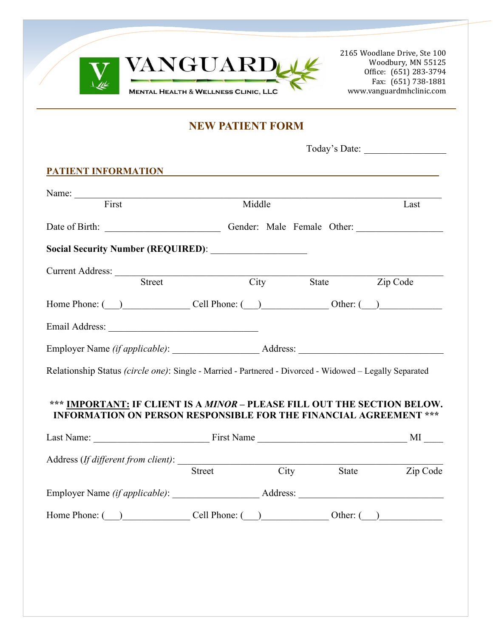

2165 Woodlane Drive, Ste 100 Woodbury, MN 55125 Office: (651) 283-3794 Fax: (651) 738-1881 www.vanguardmhclinic.com

# **NEW PATIENT FORM**

| <u>PATIENT INFORMATION</u>                                                                                                                           |               |        |                     |                |
|------------------------------------------------------------------------------------------------------------------------------------------------------|---------------|--------|---------------------|----------------|
|                                                                                                                                                      |               |        |                     |                |
| Name: First                                                                                                                                          |               | Middle |                     | Last           |
|                                                                                                                                                      |               |        |                     |                |
|                                                                                                                                                      |               |        |                     |                |
| Current Address: <u>Street</u>                                                                                                                       |               |        |                     |                |
|                                                                                                                                                      |               |        | City State Zip Code |                |
| Home Phone: $\qquad \qquad$ Cell Phone: $\qquad \qquad$ Other: $\qquad \qquad$                                                                       |               |        |                     |                |
|                                                                                                                                                      |               |        |                     |                |
|                                                                                                                                                      |               |        |                     |                |
| Relationship Status (circle one): Single - Married - Partnered - Divorced - Widowed - Legally Separated                                              |               |        |                     |                |
|                                                                                                                                                      |               |        |                     |                |
| *** IMPORTANT: IF CLIENT IS A MINOR - PLEASE FILL OUT THE SECTION BELOW.<br><b>INFORMATION ON PERSON RESPONSIBLE FOR THE FINANCIAL AGREEMENT ***</b> |               |        |                     |                |
| Last Name: $\frac{M}{M}$                                                                                                                             |               |        |                     |                |
|                                                                                                                                                      |               |        |                     |                |
|                                                                                                                                                      | <b>Street</b> |        | City                | State Zip Code |
|                                                                                                                                                      |               |        |                     |                |

Home Phone:  $(\_)$  Cell Phone:  $(\_)$  Other:  $(\_)$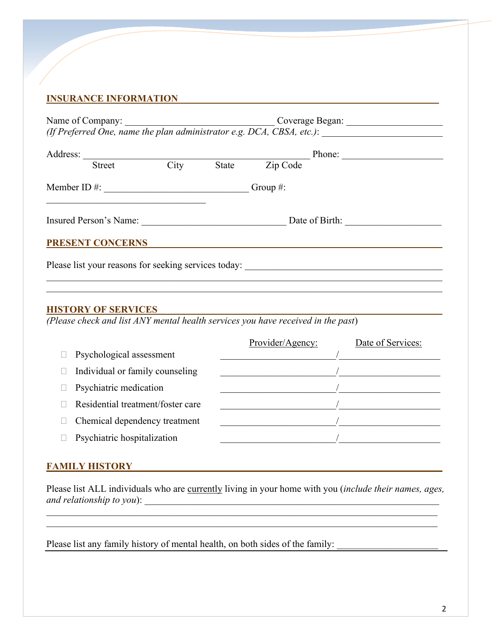# **INSURANCE INFORMATION\_\_\_\_\_\_\_\_\_\_\_\_\_\_\_\_\_\_\_\_\_\_\_\_\_\_\_\_\_\_\_\_\_\_\_\_\_\_\_\_\_\_\_\_\_\_\_\_\_\_\_\_\_\_**

| Name of Company:                                                                                  |      | <u> 1986 - Johann Stoff, deutscher Stoffen und der Stoffen und der Stoffen und der Stoffen und der Stoffen und der </u> |          |  |  |  |  |
|---------------------------------------------------------------------------------------------------|------|-------------------------------------------------------------------------------------------------------------------------|----------|--|--|--|--|
| (If Preferred One, name the plan administrator e.g. DCA, CBSA, etc.): $\overline{\qquad \qquad }$ |      |                                                                                                                         |          |  |  |  |  |
| Address:                                                                                          |      |                                                                                                                         | Phone:   |  |  |  |  |
| <b>Street</b>                                                                                     | City | State                                                                                                                   | Zip Code |  |  |  |  |
| Member ID $#$ :                                                                                   |      | Group $#$ :                                                                                                             |          |  |  |  |  |
| Insured Person's Name:                                                                            |      | Date of Birth:                                                                                                          |          |  |  |  |  |
| <b>PRESENT CONCERNS</b>                                                                           |      |                                                                                                                         |          |  |  |  |  |
| Please list your reasons for seeking services today:                                              |      |                                                                                                                         |          |  |  |  |  |
|                                                                                                   |      |                                                                                                                         |          |  |  |  |  |

#### **HISTORY OF SERVICES**

*(Please check and list ANY mental health services you have received in the past*)

|                                   | Provider/Agency: | Date of Services: |
|-----------------------------------|------------------|-------------------|
| Psychological assessment          |                  |                   |
| Individual or family counseling   |                  |                   |
| Psychiatric medication            |                  |                   |
| Residential treatment/foster care |                  |                   |
| Chemical dependency treatment     |                  |                   |
| Psychiatric hospitalization       |                  |                   |

#### **FAMILY HISTORY\_\_\_\_\_\_\_\_\_\_\_\_\_\_\_\_\_\_\_\_\_\_\_\_\_\_\_\_\_\_\_\_\_\_\_\_\_\_\_\_\_\_\_\_\_\_\_\_\_\_\_\_\_\_\_**

Please list ALL individuals who are currently living in your home with you (*include their names, ages, and relationship to you*):

Please list any family history of mental health, on both sides of the family: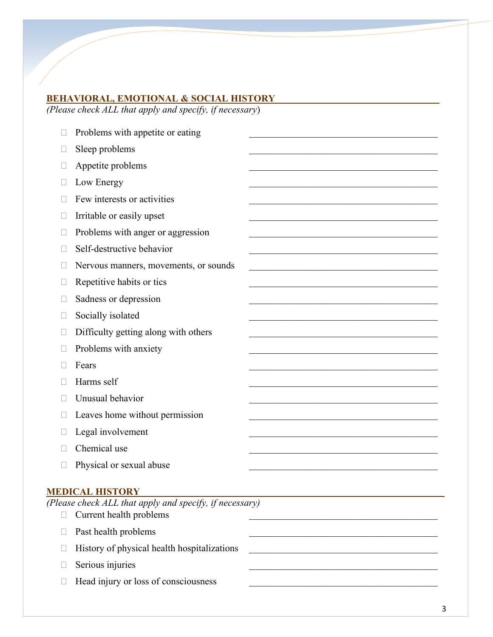## **BEHAVIORAL, EMOTIONAL & SOCIAL HISTORY\_\_\_\_\_\_\_\_\_\_\_\_\_\_\_\_\_\_\_\_\_\_\_\_\_\_\_\_\_\_\_\_\_\_**

*(Please check ALL that apply and specify, if necessary*)

 $\Box$  Problems with appetite or eating  $\Box$  Sleep problems  $\Box$  Appetite problems  $\Box$  Low Energy  $\Box$  Few interests or activities  $\Box$  Irritable or easily upset  $\Box$  Problems with anger or aggression  $\Box$  Self-destructive behavior  $\Box$  Nervous manners, movements, or sounds  $\Box$  Repetitive habits or tics  $\Box$  Sadness or depression  $\Box$  Socially isolated  $\Box$  Difficulty getting along with others  $\Box$  Problems with anxiety  $\Box$  Fears  $\Box$  Harms self  $\Box$  Unusual behavior  $\Box$  Leaves home without permission  $\Box$  Legal involvement  $\Box$  Chemical use  $\Box$  Physical or sexual abuse

### **MEDICAL HISTORY\_\_\_\_\_\_\_\_\_\_\_\_\_\_\_\_\_\_\_\_\_\_\_\_\_\_\_\_\_\_\_\_\_\_\_\_\_\_\_\_\_\_\_\_\_\_\_\_\_\_\_\_\_\_\_\_\_\_\_\_\_\_\_**

*(Please check ALL that apply and specify, if necessary)*

- $\Box$  Current health problems
- $\Box$  Past health problems
- $\Box$  History of physical health hospitalizations
- $\Box$  Serious injuries
- $\Box$  Head injury or loss of consciousness